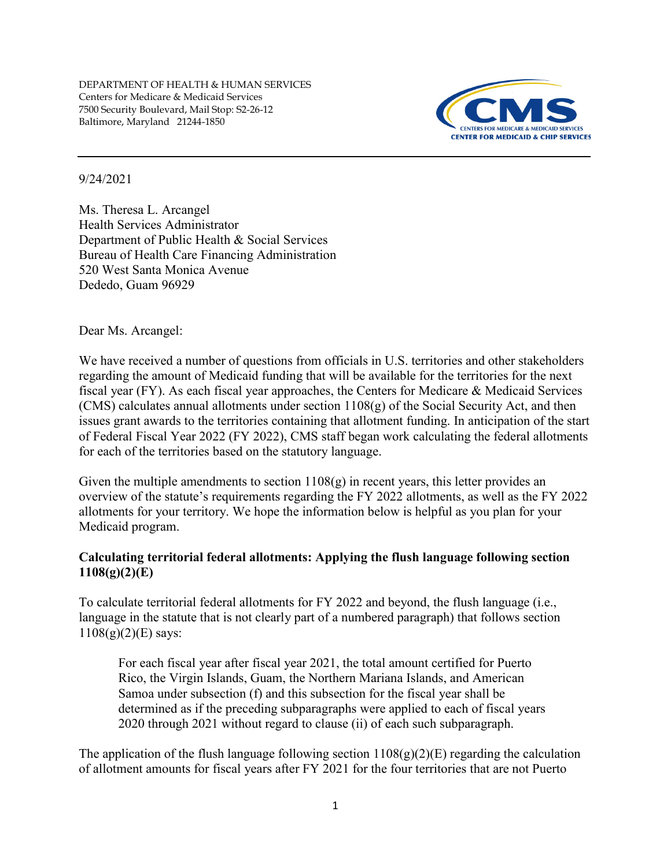

## 9/24/2021

Ms. Theresa L. Arcangel Health Services Administrator Department of Public Health & Social Services Bureau of Health Care Financing Administration 520 West Santa Monica Avenue Dededo, Guam 96929

Dear Ms. Arcangel:

We have received a number of questions from officials in U.S. territories and other stakeholders regarding the amount of Medicaid funding that will be available for the territories for the next fiscal year (FY). As each fiscal year approaches, the Centers for Medicare & Medicaid Services (CMS) calculates annual allotments under section  $1108(g)$  of the Social Security Act, and then issues grant awards to the territories containing that allotment funding. In anticipation of the start of Federal Fiscal Year 2022 (FY 2022), CMS staff began work calculating the federal allotments for each of the territories based on the statutory language.

Given the multiple amendments to section  $1108(g)$  in recent years, this letter provides an overview of the statute's requirements regarding the FY 2022 allotments, as well as the FY 2022 allotments for your territory. We hope the information below is helpful as you plan for your Medicaid program.

## **Calculating territorial federal allotments: Applying the flush language following section 1108(g)(2)(E)**

To calculate territorial federal allotments for FY 2022 and beyond, the flush language (i.e., language in the statute that is not clearly part of a numbered paragraph) that follows section  $1108(g)(2)(E)$  says:

For each fiscal year after fiscal year 2021, the total amount certified for Puerto Rico, the Virgin Islands, Guam, the Northern Mariana Islands, and American Samoa under subsection (f) and this subsection for the fiscal year shall be determined as if the preceding subparagraphs were applied to each of fiscal years 2020 through 2021 without regard to clause (ii) of each such subparagraph.

The application of the flush language following section  $1108(g)(2)(E)$  regarding the calculation of allotment amounts for fiscal years after FY 2021 for the four territories that are not Puerto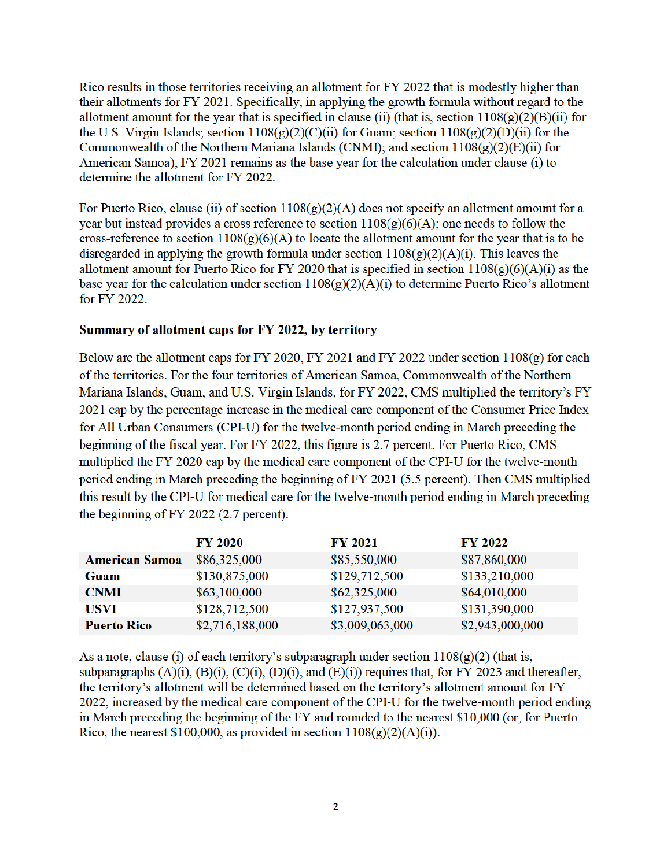Rico results in those territories receiving an allotment for FY 2022 that is modestly higher than their allotments for FY 2021. Specifically, in applying the growth formula without regard to the allotment amount for the year that is specified in clause (ii) (that is, section  $1108(g)(2)(B)(ii)$  for the U.S. Virgin Islands; section  $1108(g)(2)(C)(ii)$  for Guam; section  $1108(g)(2)(D)(ii)$  for the Commonwealth of the Northern Mariana Islands (CNMI); and section  $1108(g)(2)(E)(ii)$  for American Samoa), FY 2021 remains as the base year for the calculation under clause (i) to determine the allotment for FY 2022.

For Puerto Rico, clause (ii) of section  $1108(g)(2)(A)$  does not specify an allotment amount for a year but instead provides a cross reference to section  $1108(g)(6)(A)$ ; one needs to follow the cross-reference to section  $1108(g)(6)(A)$  to locate the allotment amount for the year that is to be disregarded in applying the growth formula under section  $1108(g)(2)(A)(i)$ . This leaves the allotment amount for Puerto Rico for FY 2020 that is specified in section  $1108(g)(6)(A)(i)$  as the base year for the calculation under section  $1108(g)(2)(A)(i)$  to determine Puerto Rico's allotment for FY 2022.

## Summary of allotment caps for FY 2022, by territory

Below are the allotment caps for FY 2020, FY 2021 and FY 2022 under section  $1108(g)$  for each of the territories. For the four territories of American Samoa, Commonwealth of the Northern Mariana Islands, Guam, and U.S. Virgin Islands, for FY 2022, CMS multiplied the territory's FY 2021 cap by the percentage increase in the medical care component of the Consumer Price Index for All Urban Consumers (CPI-U) for the twelve-month period ending in March preceding the beginning of the fiscal year. For FY 2022, this figure is 2.7 percent. For Puerto Rico, CMS multiplied the FY 2020 cap by the medical care component of the CPI-U for the twelve-month period ending in March preceding the beginning of FY 2021 (5.5 percent). Then CMS multiplied this result by the CPI-U for medical care for the twelve-month period ending in March preceding the beginning of FY 2022 (2.7 percent).

|                       | <b>FY 2020</b>  | <b>FY 2021</b>  | <b>FY 2022</b>  |
|-----------------------|-----------------|-----------------|-----------------|
| <b>American Samoa</b> | \$86,325,000    | \$85,550,000    | \$87,860,000    |
| Guam                  | \$130,875,000   | \$129,712,500   | \$133,210,000   |
| <b>CNMI</b>           | \$63,100,000    | \$62,325,000    | \$64,010,000    |
| <b>USVI</b>           | \$128,712,500   | \$127,937,500   | \$131,390,000   |
| <b>Puerto Rico</b>    | \$2,716,188,000 | \$3,009,063,000 | \$2,943,000,000 |

As a note, clause (i) of each territory's subparagraph under section  $1108(g)(2)$  (that is, subparagraphs  $(A)(i)$ ,  $(B)(i)$ ,  $(C)(i)$ ,  $(D)(i)$ , and  $(E)(i)$  requires that, for FY 2023 and thereafter, the territory's allotment will be determined based on the territory's allotment amount for FY 2022, increased by the medical care component of the CPI-U for the twelve-month period ending in March preceding the beginning of the FY and rounded to the nearest \$10,000 (or, for Puerto Rico, the nearest \$100,000, as provided in section  $1108(g)(2)(A)(i)$ .